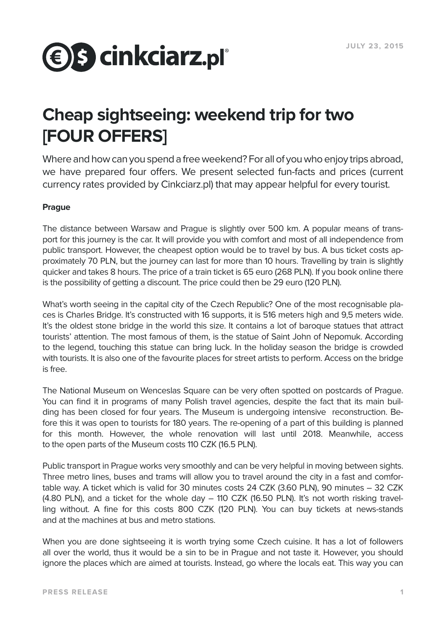# **<b>€** S cinkciarz.pl°

## **Cheap sightseeing: weekend trip for two [FOUR OFFERS]**

Where and how can you spend a free weekend? For all of you who enjoy trips abroad, we have prepared four offers. We present selected fun-facts and prices (current currency rates provided by Cinkciarz.pl) that may appear helpful for every tourist.

### **Prague**

The distance between Warsaw and Prague is slightly over 500 km. A popular means of transport for this journey is the car. It will provide you with comfort and most of all independence from public transport. However, the cheapest option would be to travel by bus. A bus ticket costs approximately 70 PLN, but the journey can last for more than 10 hours. Travelling by train is slightly quicker and takes 8 hours. The price of a train ticket is 65 euro (268 PLN). If you book online there is the possibility of getting a discount. The price could then be 29 euro (120 PLN).

What's worth seeing in the capital city of the Czech Republic? One of the most recognisable places is Charles Bridge. It's constructed with 16 supports, it is 516 meters high and 9,5 meters wide. It's the oldest stone bridge in the world this size. It contains a lot of baroque statues that attract tourists' attention. The most famous of them, is the statue of Saint John of Nepomuk. According to the legend, touching this statue can bring luck. In the holiday season the bridge is crowded with tourists. It is also one of the favourite places for street artists to perform. Access on the bridge is free.

The National Museum on Wenceslas Square can be very often spotted on postcards of Prague. You can find it in programs of many Polish travel agencies, despite the fact that its main building has been closed for four years. The Museum is undergoing intensive reconstruction. Before this it was open to tourists for 180 years. The re-opening of a part of this building is planned for this month. However, the whole renovation will last until 2018. Meanwhile, access to the open parts of the Museum costs 110 CZK (16.5 PLN).

Public transport in Prague works very smoothly and can be very helpful in moving between sights. Three metro lines, buses and trams will allow you to travel around the city in a fast and comfortable way. A ticket which is valid for 30 minutes costs 24 CZK (3.60 PLN), 90 minutes – 32 CZK (4.80 PLN), and a ticket for the whole day – 110 CZK (16.50 PLN). It's not worth risking travelling without. A fine for this costs 800 CZK (120 PLN). You can buy tickets at news-stands and at the machines at bus and metro stations.

When you are done sightseeing it is worth trying some Czech cuisine. It has a lot of followers all over the world, thus it would be a sin to be in Prague and not taste it. However, you should ignore the places which are aimed at tourists. Instead, go where the locals eat. This way you can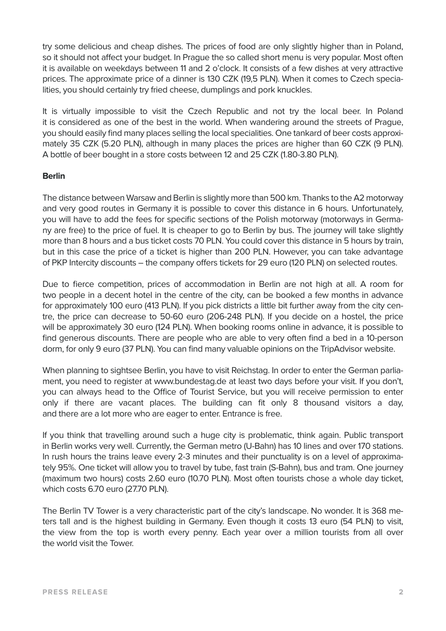try some delicious and cheap dishes. The prices of food are only slightly higher than in Poland, so it should not affect your budget. In Prague the so called short menu is very popular. Most often it is available on weekdays between 11 and 2 o'clock. It consists of a few dishes at very attractive prices. The approximate price of a dinner is 130 CZK (19,5 PLN). When it comes to Czech specialities, you should certainly try fried cheese, dumplings and pork knuckles.

It is virtually impossible to visit the Czech Republic and not try the local beer. In Poland it is considered as one of the best in the world. When wandering around the streets of Prague, you should easily find many places selling the local specialities. One tankard of beer costs approximately 35 CZK (5.20 PLN), although in many places the prices are higher than 60 CZK (9 PLN). A bottle of beer bought in a store costs between 12 and 25 CZK (1.80-3.80 PLN).

#### **Berlin**

The distance between Warsaw and Berlin is slightly more than 500 km. Thanks to the A2 motorway and very good routes in Germany it is possible to cover this distance in 6 hours. Unfortunately, you will have to add the fees for specific sections of the Polish motorway (motorways in Germany are free) to the price of fuel. It is cheaper to go to Berlin by bus. The journey will take slightly more than 8 hours and a bus ticket costs 70 PLN. You could cover this distance in 5 hours by train, but in this case the price of a ticket is higher than 200 PLN. However, you can take advantage of PKP Intercity discounts – the company offers tickets for 29 euro (120 PLN) on selected routes.

Due to fierce competition, prices of accommodation in Berlin are not high at all. A room for two people in a decent hotel in the centre of the city, can be booked a few months in advance for approximately 100 euro (413 PLN). If you pick districts a little bit further away from the city centre, the price can decrease to 50-60 euro (206-248 PLN). If you decide on a hostel, the price will be approximately 30 euro (124 PLN). When booking rooms online in advance, it is possible to find generous discounts. There are people who are able to very often find a bed in a 10-person dorm, for only 9 euro (37 PLN). You can find many valuable opinions on the TripAdvisor website.

When planning to sightsee Berlin, you have to visit Reichstag. In order to enter the German parliament, you need to register at www.bundestag.de at least two days before your visit. If you don't, you can always head to the Office of Tourist Service, but you will receive permission to enter only if there are vacant places. The building can fit only 8 thousand visitors a day, and there are a lot more who are eager to enter. Entrance is free.

If you think that travelling around such a huge city is problematic, think again. Public transport in Berlin works very well. Currently, the German metro (U-Bahn) has 10 lines and over 170 stations. In rush hours the trains leave every 2-3 minutes and their punctuality is on a level of approximately 95%. One ticket will allow you to travel by tube, fast train (S-Bahn), bus and tram. One journey (maximum two hours) costs 2.60 euro (10.70 PLN). Most often tourists chose a whole day ticket, which costs 6.70 euro (27.70 PLN).

The Berlin TV Tower is a very characteristic part of the city's landscape. No wonder. It is 368 meters tall and is the highest building in Germany. Even though it costs 13 euro (54 PLN) to visit, the view from the top is worth every penny. Each year over a million tourists from all over the world visit the Tower.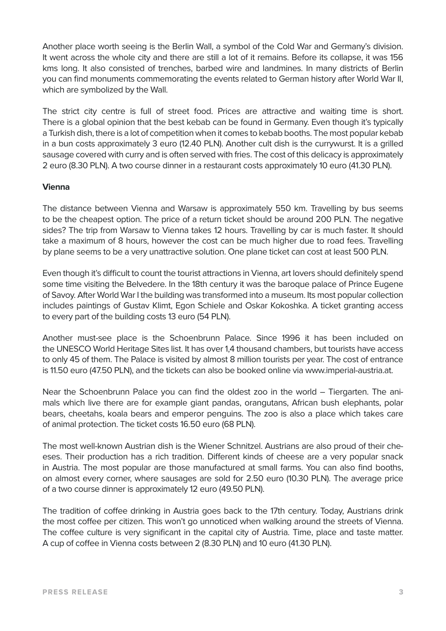Another place worth seeing is the Berlin Wall, a symbol of the Cold War and Germany's division. It went across the whole city and there are still a lot of it remains. Before its collapse, it was 156 kms long. It also consisted of trenches, barbed wire and landmines. In many districts of Berlin you can find monuments commemorating the events related to German history after World War II, which are symbolized by the Wall.

The strict city centre is full of street food. Prices are attractive and waiting time is short. There is a global opinion that the best kebab can be found in Germany. Even though it's typically a Turkish dish, there is a lot of competition when it comes to kebab booths. The most popular kebab in a bun costs approximately 3 euro (12.40 PLN). Another cult dish is the currywurst. It is a grilled sausage covered with curry and is often served with fries. The cost of this delicacy is approximately 2 euro (8.30 PLN). A two course dinner in a restaurant costs approximately 10 euro (41.30 PLN).

#### **Vienna**

The distance between Vienna and Warsaw is approximately 550 km. Travelling by bus seems to be the cheapest option. The price of a return ticket should be around 200 PLN. The negative sides? The trip from Warsaw to Vienna takes 12 hours. Travelling by car is much faster. It should take a maximum of 8 hours, however the cost can be much higher due to road fees. Travelling by plane seems to be a very unattractive solution. One plane ticket can cost at least 500 PLN.

Even though it's difficult to count the tourist attractions in Vienna, art lovers should definitely spend some time visiting the Belvedere. In the 18th century it was the baroque palace of Prince Eugene of Savoy. After World War I the building was transformed into a museum. Its most popular collection includes paintings of Gustav Klimt, Egon Schiele and Oskar Kokoshka. A ticket granting access to every part of the building costs 13 euro (54 PLN).

Another must-see place is the Schoenbrunn Palace. Since 1996 it has been included on the UNESCO World Heritage Sites list. It has over 1,4 thousand chambers, but tourists have access to only 45 of them. The Palace is visited by almost 8 million tourists per year. The cost of entrance is 11.50 euro (47.50 PLN), and the tickets can also be booked online via www.imperial-austria.at.

Near the Schoenbrunn Palace you can find the oldest zoo in the world – Tiergarten. The animals which live there are for example giant pandas, orangutans, African bush elephants, polar bears, cheetahs, koala bears and emperor penguins. The zoo is also a place which takes care of animal protection. The ticket costs 16.50 euro (68 PLN).

The most well-known Austrian dish is the Wiener Schnitzel. Austrians are also proud of their cheeses. Their production has a rich tradition. Different kinds of cheese are a very popular snack in Austria. The most popular are those manufactured at small farms. You can also find booths, on almost every corner, where sausages are sold for 2.50 euro (10.30 PLN). The average price of a two course dinner is approximately 12 euro (49.50 PLN).

The tradition of coffee drinking in Austria goes back to the 17th century. Today, Austrians drink the most coffee per citizen. This won't go unnoticed when walking around the streets of Vienna. The coffee culture is very significant in the capital city of Austria. Time, place and taste matter. A cup of coffee in Vienna costs between 2 (8.30 PLN) and 10 euro (41.30 PLN).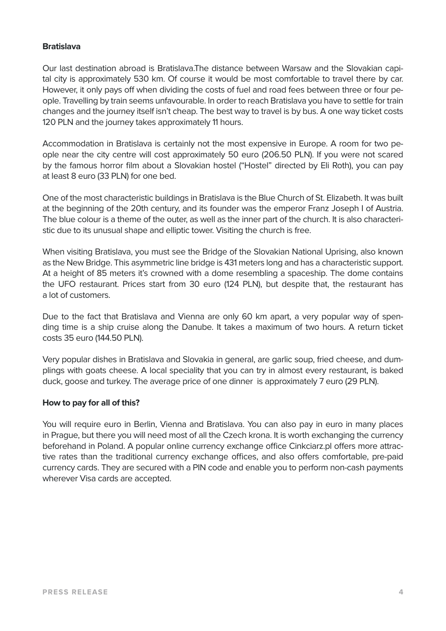#### **Bratislava**

Our last destination abroad is Bratislava.The distance between Warsaw and the Slovakian capital city is approximately 530 km. Of course it would be most comfortable to travel there by car. However, it only pays off when dividing the costs of fuel and road fees between three or four people. Travelling by train seems unfavourable. In order to reach Bratislava you have to settle for train changes and the journey itself isn't cheap. The best way to travel is by bus. A one way ticket costs 120 PLN and the journey takes approximately 11 hours.

Accommodation in Bratislava is certainly not the most expensive in Europe. A room for two people near the city centre will cost approximately 50 euro (206.50 PLN). If you were not scared by the famous horror film about a Slovakian hostel ("Hostel" directed by Eli Roth), you can pay at least 8 euro (33 PLN) for one bed.

One of the most characteristic buildings in Bratislava is the Blue Church of St. Elizabeth. It was built at the beginning of the 20th century, and its founder was the emperor Franz Joseph I of Austria. The blue colour is a theme of the outer, as well as the inner part of the church. It is also characteristic due to its unusual shape and elliptic tower. Visiting the church is free.

When visiting Bratislava, you must see the Bridge of the Slovakian National Uprising, also known as the New Bridge. This asymmetric line bridge is 431 meters long and has a characteristic support. At a height of 85 meters it's crowned with a dome resembling a spaceship. The dome contains the UFO restaurant. Prices start from 30 euro (124 PLN), but despite that, the restaurant has a lot of customers.

Due to the fact that Bratislava and Vienna are only 60 km apart, a very popular way of spending time is a ship cruise along the Danube. It takes a maximum of two hours. A return ticket costs 35 euro (144.50 PLN).

Very popular dishes in Bratislava and Slovakia in general, are garlic soup, fried cheese, and dumplings with goats cheese. A local speciality that you can try in almost every restaurant, is baked duck, goose and turkey. The average price of one dinner is approximately 7 euro (29 PLN).

#### **How to pay for all of this?**

You will require euro in Berlin, Vienna and Bratislava. You can also pay in euro in many places in Prague, but there you will need most of all the Czech krona. It is worth exchanging the currency beforehand in Poland. A popular online currency exchange office Cinkciarz.pl offers more attractive rates than the traditional currency exchange offices, and also offers comfortable, pre-paid currency cards. They are secured with a PIN code and enable you to perform non-cash payments wherever Visa cards are accepted.